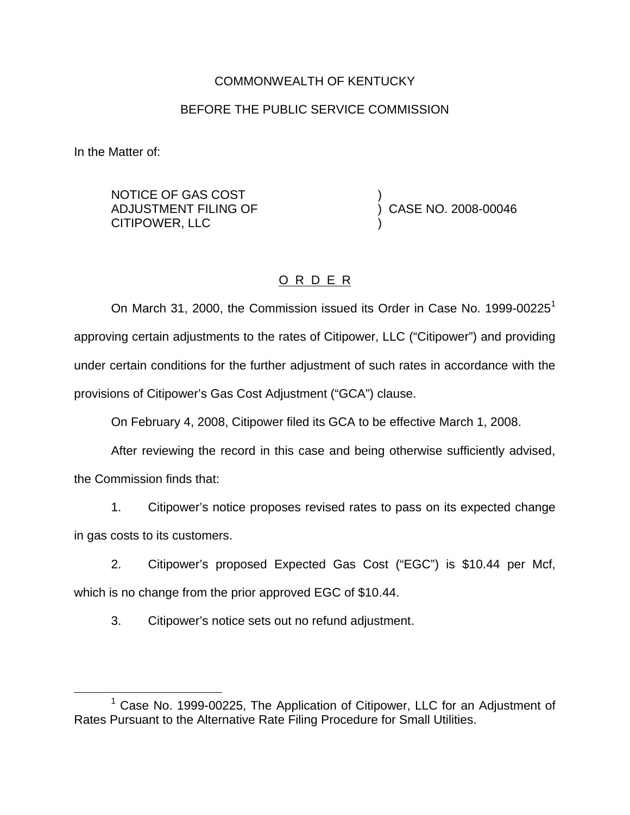### COMMONWEALTH OF KENTUCKY

# BEFORE THE PUBLIC SERVICE COMMISSION

In the Matter of:

NOTICE OF GAS COST ADJUSTMENT FILING OF CITIPOWER, LLC

) CASE NO. 2008-00046

)

)

# O R D E R

On March 31, 2000, the Commission issued its Order in Case No. 1999-00225<sup>1</sup> approving certain adjustments to the rates of Citipower, LLC ("Citipower") and providing under certain conditions for the further adjustment of such rates in accordance with the provisions of Citipower's Gas Cost Adjustment ("GCA") clause.

On February 4, 2008, Citipower filed its GCA to be effective March 1, 2008.

After reviewing the record in this case and being otherwise sufficiently advised, the Commission finds that:

1. Citipower's notice proposes revised rates to pass on its expected change in gas costs to its customers.

2. Citipower's proposed Expected Gas Cost ("EGC") is \$10.44 per Mcf, which is no change from the prior approved EGC of \$10.44.

3. Citipower's notice sets out no refund adjustment.

<sup>&</sup>lt;sup>1</sup> Case No. 1999-00225, The Application of Citipower, LLC for an Adjustment of Rates Pursuant to the Alternative Rate Filing Procedure for Small Utilities.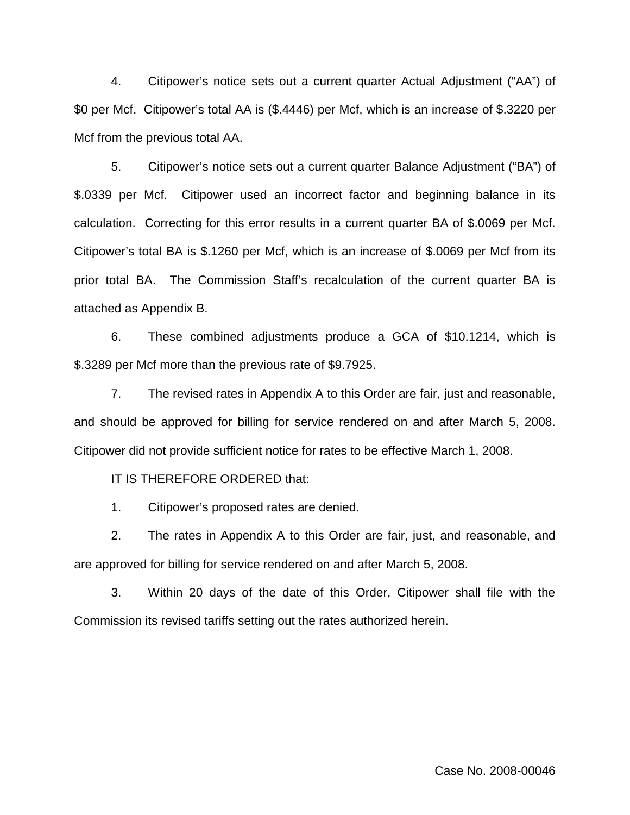4. Citipower's notice sets out a current quarter Actual Adjustment ("AA") of \$0 per Mcf. Citipower's total AA is (\$.4446) per Mcf, which is an increase of \$.3220 per Mcf from the previous total AA.

5. Citipower's notice sets out a current quarter Balance Adjustment ("BA") of \$.0339 per Mcf. Citipower used an incorrect factor and beginning balance in its calculation. Correcting for this error results in a current quarter BA of \$.0069 per Mcf. Citipower's total BA is \$.1260 per Mcf, which is an increase of \$.0069 per Mcf from its prior total BA. The Commission Staff's recalculation of the current quarter BA is attached as Appendix B.

6. These combined adjustments produce a GCA of \$10.1214, which is \$.3289 per Mcf more than the previous rate of \$9.7925.

7. The revised rates in Appendix A to this Order are fair, just and reasonable, and should be approved for billing for service rendered on and after March 5, 2008. Citipower did not provide sufficient notice for rates to be effective March 1, 2008.

IT IS THEREFORE ORDERED that:

1. Citipower's proposed rates are denied.

2. The rates in Appendix A to this Order are fair, just, and reasonable, and are approved for billing for service rendered on and after March 5, 2008.

3. Within 20 days of the date of this Order, Citipower shall file with the Commission its revised tariffs setting out the rates authorized herein.

Case No. 2008-00046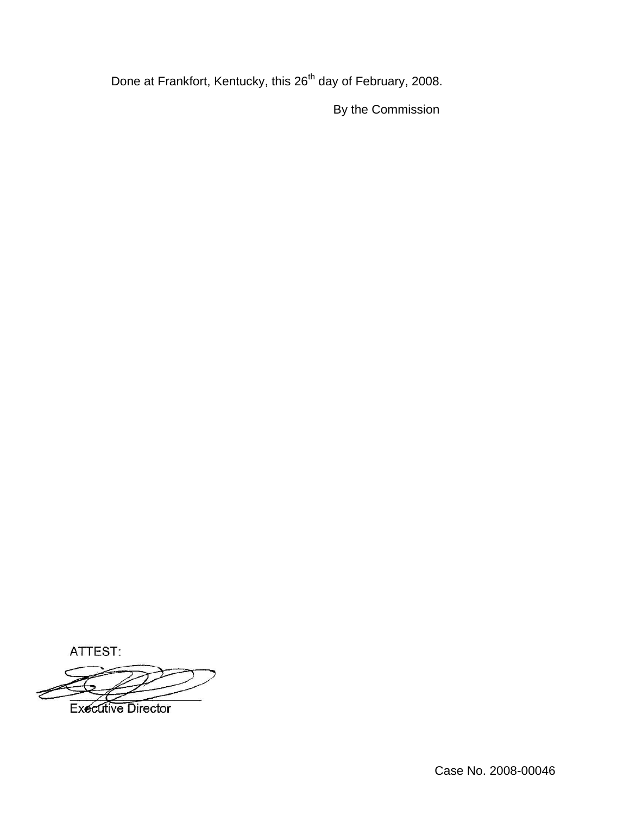Done at Frankfort, Kentucky, this 26<sup>th</sup> day of February, 2008.

By the Commission

ATTEST:

**Executive Director**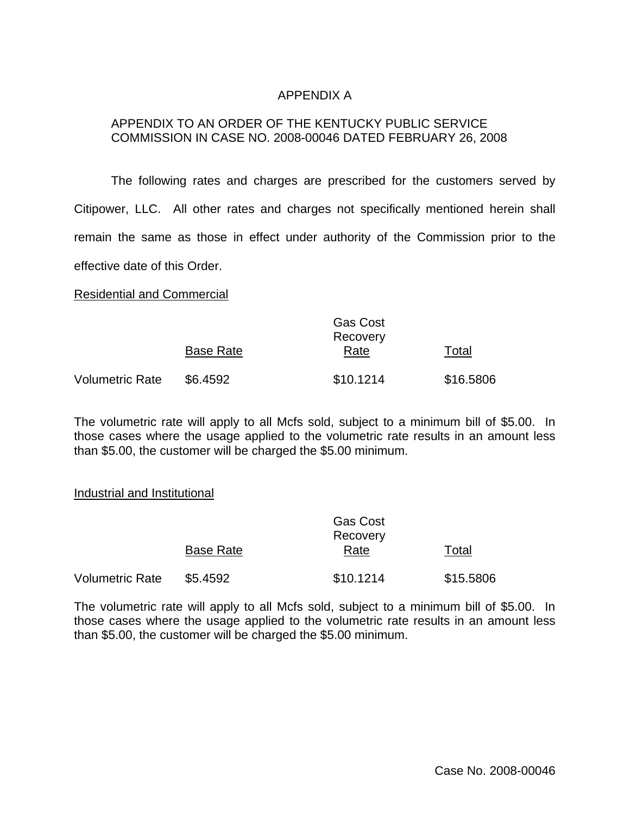### APPENDIX A

#### APPENDIX TO AN ORDER OF THE KENTUCKY PUBLIC SERVICE COMMISSION IN CASE NO. 2008-00046 DATED FEBRUARY 26, 2008

The following rates and charges are prescribed for the customers served by Citipower, LLC. All other rates and charges not specifically mentioned herein shall remain the same as those in effect under authority of the Commission prior to the effective date of this Order.

Residential and Commercial

|                 |                  | <b>Gas Cost</b><br>Recovery |           |  |  |  |
|-----------------|------------------|-----------------------------|-----------|--|--|--|
|                 | <b>Base Rate</b> | Rate                        | Total     |  |  |  |
| Volumetric Rate | \$6.4592         | \$10.1214                   | \$16.5806 |  |  |  |

The volumetric rate will apply to all Mcfs sold, subject to a minimum bill of \$5.00. In those cases where the usage applied to the volumetric rate results in an amount less than \$5.00, the customer will be charged the \$5.00 minimum.

#### Industrial and Institutional

|                 |                  | <b>Gas Cost</b><br>Recovery |           |  |  |
|-----------------|------------------|-----------------------------|-----------|--|--|
|                 | <b>Base Rate</b> | Rate                        | Total     |  |  |
| Volumetric Rate | \$5.4592         | \$10.1214                   | \$15.5806 |  |  |

The volumetric rate will apply to all Mcfs sold, subject to a minimum bill of \$5.00. In those cases where the usage applied to the volumetric rate results in an amount less than \$5.00, the customer will be charged the \$5.00 minimum.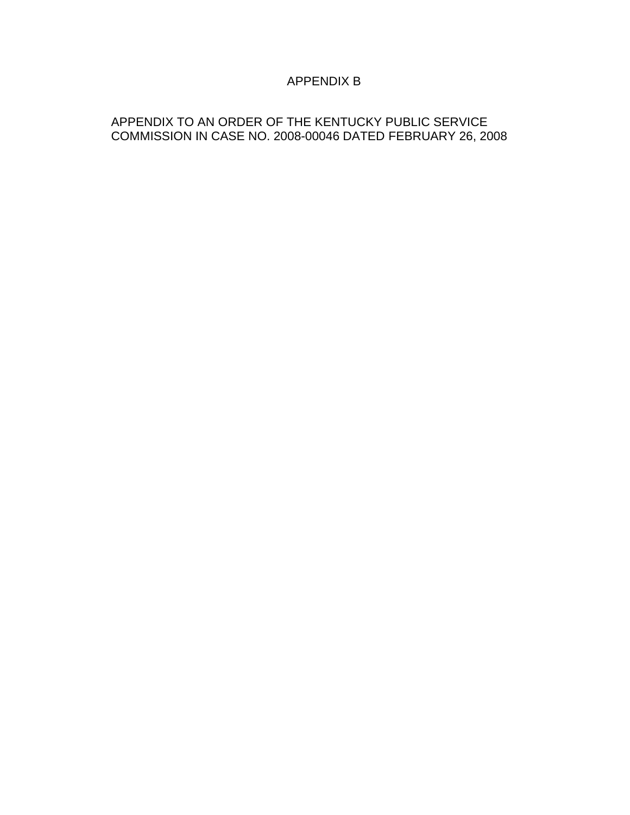# APPENDIX B

# APPENDIX TO AN ORDER OF THE KENTUCKY PUBLIC SERVICE COMMISSION IN CASE NO. 2008-00046 DATED FEBRUARY 26, 2008